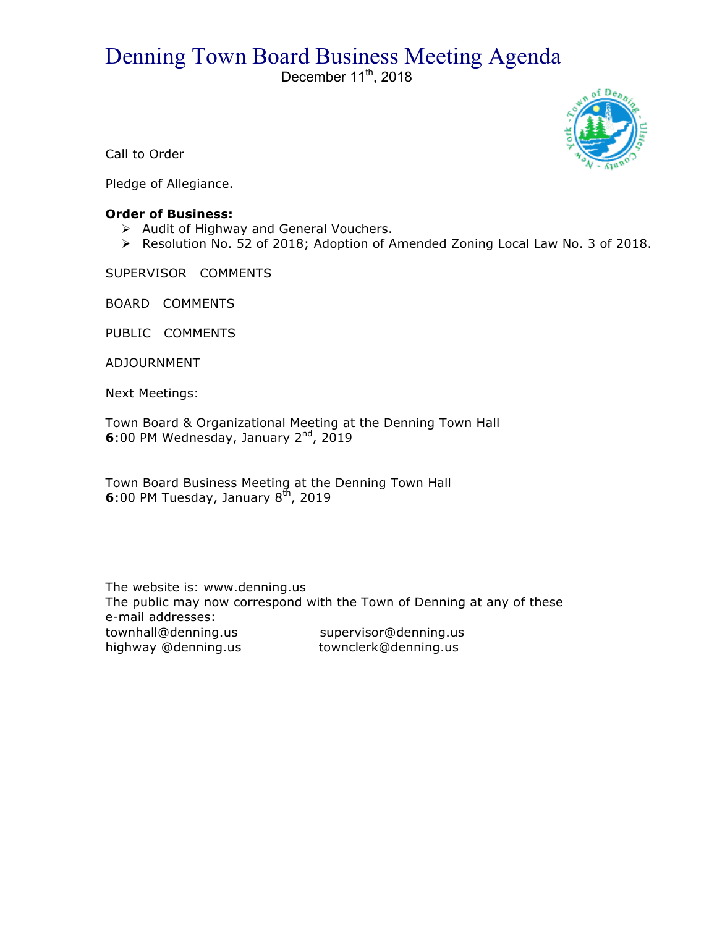# Denning Town Board Business Meeting Agenda

December  $11^{th}$ , 2018



Call to Order

Pledge of Allegiance.

## **Order of Business:**

- > Audit of Highway and General Vouchers.
- ! Resolution No. 52 of 2018; Adoption of Amended Zoning Local Law No. 3 of 2018.

SUPERVISOR COMMENTS

BOARD COMMENTS

PUBLIC COMMENTS

ADJOURNMENT

Next Meetings:

Town Board & Organizational Meeting at the Denning Town Hall **6**:00 PM Wednesday, January 2<sup>nd</sup>, 2019

Town Board Business Meeting at the Denning Town Hall **6**:00 PM Tuesday, January  $8<sup>th</sup>$ , 2019

The website is: www.denning.us The public may now correspond with the Town of Denning at any of these e-mail addresses: townhall@denning.us supervisor@denning.us highway @denning.us townclerk@denning.us